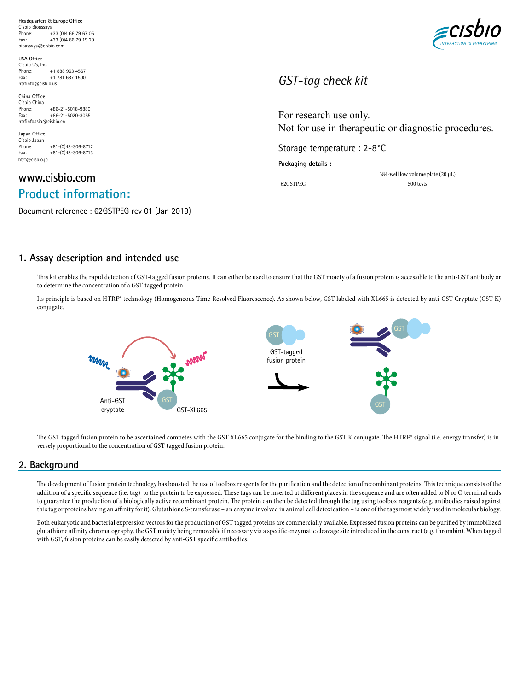**Headquarters & Europe Office** Cisbio Bioassays Phone: +33 (0)4 66 79 67 05<br>Fax: +33 (0)4 66 79 19 20 Fax:  $+33$  (0)4 66 79 19 20<br>bioassays@cisbio.com bioassays@cisbio.com

**USA Office** Cisbio US, Inc.  $+1$  888 963 4567 Fax: +1 781 687 1500 htrfinfo@cisbio.us

**China Office** Cisbio China<br>Phone: +86-21-5018-9880 Fax: +86-21-5020-3055 htrfinfoasia@cisbio.cn

**Japan Office** Cisbio Japan<br>Phone: Phone: +81-(0)43-306-8712  $Fax: +81-(0)43-306-8713$ htrf@cisbio.jp

# **www.cisbio.com Product information:**

Document reference : 62GSTPEG rev 01 (Jan 2019)



# *GST-tag check kit*

For research use only. Not for use in therapeutic or diagnostic procedures.

Storage temperature : 2-8°C

**Packaging details :**

384-well low volume plate (20 µL) 62GSTPEG 500 tests

# **1. Assay description and intended use**

This kit enables the rapid detection of GST-tagged fusion proteins. It can either be used to ensure that the GST moiety of a fusion protein is accessible to the anti-GST antibody or to determine the concentration of a GST-tagged protein.

Its principle is based on HTRF® technology (Homogeneous Time-Resolved Fluorescence). As shown below, GST labeled with XL665 is detected by anti-GST Cryptate (GST-K) conjugate.



The GST-tagged fusion protein to be ascertained competes with the GST-XL665 conjugate for the binding to the GST-K conjugate. The HTRF® signal (i.e. energy transfer) is inversely proportional to the concentration of GST-tagged fusion protein.

# **2. Background**

The development of fusion protein technology has boosted the use of toolbox reagents for the purification and the detection of recombinant proteins. This technique consists of the addition of a specific sequence (i.e. tag) to the protein to be expressed. These tags can be inserted at different places in the sequence and are often added to N or C-terminal ends to guarantee the production of a biologically active recombinant protein. The protein can then be detected through the tag using toolbox reagents (e.g. antibodies raised against this tag or proteins having an affinity for it). Glutathione S-transferase – an enzyme involved in animal cell detoxication – is one of the tags most widely used in molecular biology.

Both eukaryotic and bacterial expression vectors for the production of GST tagged proteins are commercially available. Expressed fusion proteins can be purified by immobilized glutathione affinity chromatography, the GST moiety being removable if necessary via a specific enzymatic cleavage site introduced in the construct (e.g. thrombin). When tagged with GST, fusion proteins can be easily detected by anti-GST specific antibodies.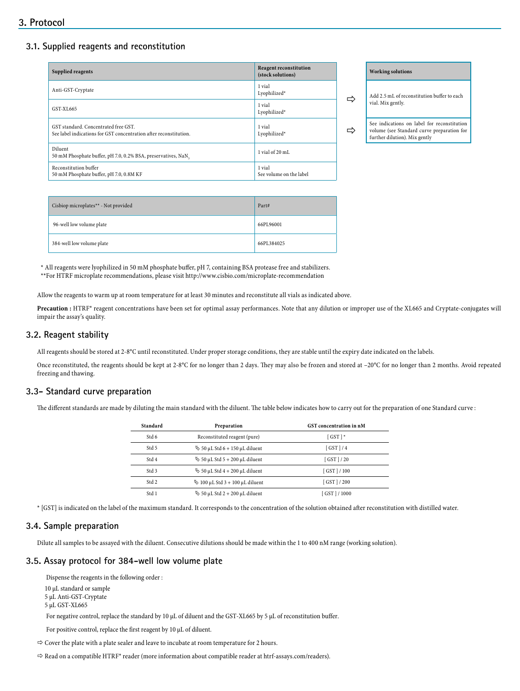# **3.1. Supplied reagents and reconstitution**

| Supplied reagents                                                                                         | <b>Reagent reconstitution</b><br>(stock solutions) |   | <b>Working solutions</b>                                         |
|-----------------------------------------------------------------------------------------------------------|----------------------------------------------------|---|------------------------------------------------------------------|
| Anti-GST-Cryptate                                                                                         | 1 vial<br>Lyophilized*                             |   | Add 2.5 mL of recor                                              |
| GST-XL665                                                                                                 | 1 vial<br>Lyophilized*                             | ⇨ | vial. Mix gently.                                                |
| GST standard. Concentrated free GST.<br>See label indications for GST concentration after reconstitution. | 1 vial<br>Lyophilized*                             | ⇨ | See indications on<br>volume (see Standa<br>further dilution). M |
| Diluent<br>50 mM Phosphate buffer, pH 7.0, 0.2% BSA, preservatives, NaN,                                  | 1 vial of 20 mL                                    |   |                                                                  |
| Reconstitution buffer<br>50 mM Phosphate buffer, pH 7.0, 0.8M KF                                          | 1 vial<br>See volume on the label                  |   |                                                                  |

| <b>Working solutions</b>                                                                                                   |  |  |  |
|----------------------------------------------------------------------------------------------------------------------------|--|--|--|
| Add 2.5 mL of reconstitution buffer to each<br>vial. Mix gently.                                                           |  |  |  |
| See indications on label for reconstitution<br>volume (see Standard curve preparation for<br>further dilution). Mix gently |  |  |  |

| Cisbiop microplates** - Not provided | Part#      |
|--------------------------------------|------------|
| 96-well low volume plate             | 66PL96001  |
| 384-well low volume plate            | 66PL384025 |

\* All reagents were lyophilized in 50 mM phosphate buffer, pH 7, containing BSA protease free and stabilizers.

\*\*For HTRF microplate recommendations, please visit http://www.cisbio.com/microplate-recommendation

Allow the reagents to warm up at room temperature for at least 30 minutes and reconstitute all vials as indicated above.

Precaution : HTRF® reagent concentrations have been set for optimal assay performances. Note that any dilution or improper use of the XL665 and Cryptate-conjugates will impair the assay's quality.

#### **3.2. Reagent stability**

All reagents should be stored at 2-8°C until reconstituted. Under proper storage conditions, they are stable until the expiry date indicated on the labels.

Once reconstituted, the reagents should be kept at 2-8°C for no longer than 2 days. They may also be frozen and stored at -20°C for no longer than 2 months. Avoid repeated freezing and thawing.

### **3.3- Standard curve preparation**

The different standards are made by diluting the main standard with the diluent. The table below indicates how to carry out for the preparation of one Standard curve :

| Standard         | GST concentration in nM<br>Preparation      |               |  |
|------------------|---------------------------------------------|---------------|--|
| Std 6            | Reconstituted reagent (pure)                | $[$ GST $]$ * |  |
| Std 5            | $\frac{16}{2}$ 50 µL Std 6 + 150 µL diluent | $GST$ $1/4$   |  |
| Std <sub>4</sub> | $\frac{1}{2}$ 50 µL Std 5 + 200 µL diluent  | $GST$ $1/20$  |  |
| Std 3            | $\frac{1}{2}$ 50 µL Std 4 + 200 µL diluent  | GST 1/100     |  |
| Std <sub>2</sub> | $\%$ 100 µL Std 3 + 100 µL diluent          | $GST$   / 200 |  |
| Std 1            | $\frac{1}{2}$ 50 µL Std 2 + 200 µL diluent  | [GST]/1000    |  |

\* [GST] is indicated on the label of the maximum standard. It corresponds to the concentration of the solution obtained after reconstitution with distilled water.

#### **3.4. Sample preparation**

Dilute all samples to be assayed with the diluent. Consecutive dilutions should be made within the 1 to 400 nM range (working solution).

#### **3.5. Assay protocol for 384-well low volume plate**

Dispense the reagents in the following order :

10 µL standard or sample 5 µL Anti-GST-Cryptate

5 µL GST-XL665

For negative control, replace the standard by 10 µL of diluent and the GST-XL665 by 5 µL of reconstitution buffer.

For positive control, replace the first reagent by 10 µL of diluent.

 $\Rightarrow$  Cover the plate with a plate sealer and leave to incubate at room temperature for 2 hours.

 $\Rightarrow$  Read on a compatible HTRF® reader (more information about compatible reader at htrf-assays.com/readers).